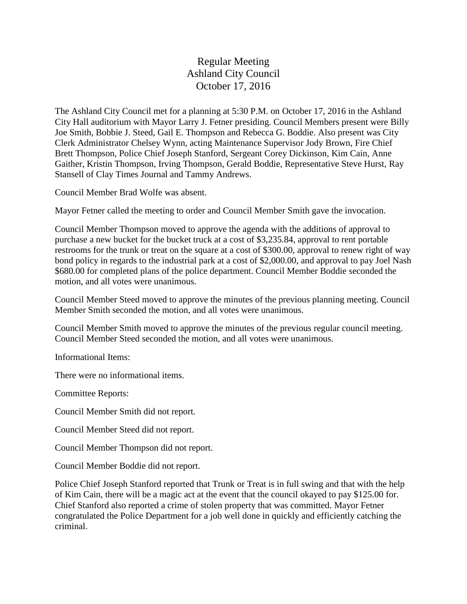## Regular Meeting Ashland City Council October 17, 2016

The Ashland City Council met for a planning at 5:30 P.M. on October 17, 2016 in the Ashland City Hall auditorium with Mayor Larry J. Fetner presiding. Council Members present were Billy Joe Smith, Bobbie J. Steed, Gail E. Thompson and Rebecca G. Boddie. Also present was City Clerk Administrator Chelsey Wynn, acting Maintenance Supervisor Jody Brown, Fire Chief Brett Thompson, Police Chief Joseph Stanford, Sergeant Corey Dickinson, Kim Cain, Anne Gaither, Kristin Thompson, Irving Thompson, Gerald Boddie, Representative Steve Hurst, Ray Stansell of Clay Times Journal and Tammy Andrews.

Council Member Brad Wolfe was absent.

Mayor Fetner called the meeting to order and Council Member Smith gave the invocation.

Council Member Thompson moved to approve the agenda with the additions of approval to purchase a new bucket for the bucket truck at a cost of \$3,235.84, approval to rent portable restrooms for the trunk or treat on the square at a cost of \$300.00, approval to renew right of way bond policy in regards to the industrial park at a cost of \$2,000.00, and approval to pay Joel Nash \$680.00 for completed plans of the police department. Council Member Boddie seconded the motion, and all votes were unanimous.

Council Member Steed moved to approve the minutes of the previous planning meeting. Council Member Smith seconded the motion, and all votes were unanimous.

Council Member Smith moved to approve the minutes of the previous regular council meeting. Council Member Steed seconded the motion, and all votes were unanimous.

Informational Items:

There were no informational items.

Committee Reports:

Council Member Smith did not report.

Council Member Steed did not report.

Council Member Thompson did not report.

Council Member Boddie did not report.

Police Chief Joseph Stanford reported that Trunk or Treat is in full swing and that with the help of Kim Cain, there will be a magic act at the event that the council okayed to pay \$125.00 for. Chief Stanford also reported a crime of stolen property that was committed. Mayor Fetner congratulated the Police Department for a job well done in quickly and efficiently catching the criminal.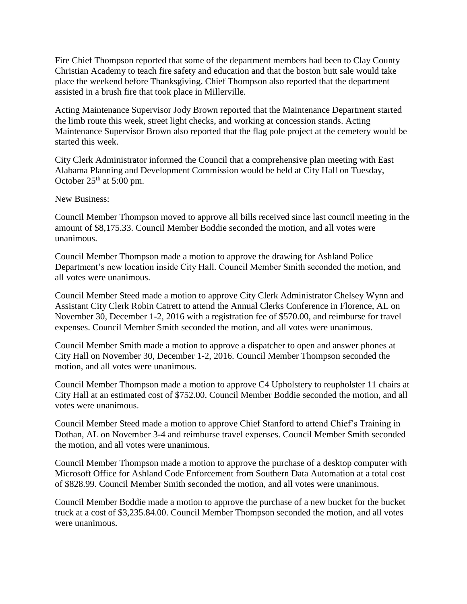Fire Chief Thompson reported that some of the department members had been to Clay County Christian Academy to teach fire safety and education and that the boston butt sale would take place the weekend before Thanksgiving. Chief Thompson also reported that the department assisted in a brush fire that took place in Millerville.

Acting Maintenance Supervisor Jody Brown reported that the Maintenance Department started the limb route this week, street light checks, and working at concession stands. Acting Maintenance Supervisor Brown also reported that the flag pole project at the cemetery would be started this week.

City Clerk Administrator informed the Council that a comprehensive plan meeting with East Alabama Planning and Development Commission would be held at City Hall on Tuesday, October  $25<sup>th</sup>$  at 5:00 pm.

New Business:

Council Member Thompson moved to approve all bills received since last council meeting in the amount of \$8,175.33. Council Member Boddie seconded the motion, and all votes were unanimous.

Council Member Thompson made a motion to approve the drawing for Ashland Police Department's new location inside City Hall. Council Member Smith seconded the motion, and all votes were unanimous.

Council Member Steed made a motion to approve City Clerk Administrator Chelsey Wynn and Assistant City Clerk Robin Catrett to attend the Annual Clerks Conference in Florence, AL on November 30, December 1-2, 2016 with a registration fee of \$570.00, and reimburse for travel expenses. Council Member Smith seconded the motion, and all votes were unanimous.

Council Member Smith made a motion to approve a dispatcher to open and answer phones at City Hall on November 30, December 1-2, 2016. Council Member Thompson seconded the motion, and all votes were unanimous.

Council Member Thompson made a motion to approve C4 Upholstery to reupholster 11 chairs at City Hall at an estimated cost of \$752.00. Council Member Boddie seconded the motion, and all votes were unanimous.

Council Member Steed made a motion to approve Chief Stanford to attend Chief's Training in Dothan, AL on November 3-4 and reimburse travel expenses. Council Member Smith seconded the motion, and all votes were unanimous.

Council Member Thompson made a motion to approve the purchase of a desktop computer with Microsoft Office for Ashland Code Enforcement from Southern Data Automation at a total cost of \$828.99. Council Member Smith seconded the motion, and all votes were unanimous.

Council Member Boddie made a motion to approve the purchase of a new bucket for the bucket truck at a cost of \$3,235.84.00. Council Member Thompson seconded the motion, and all votes were unanimous.